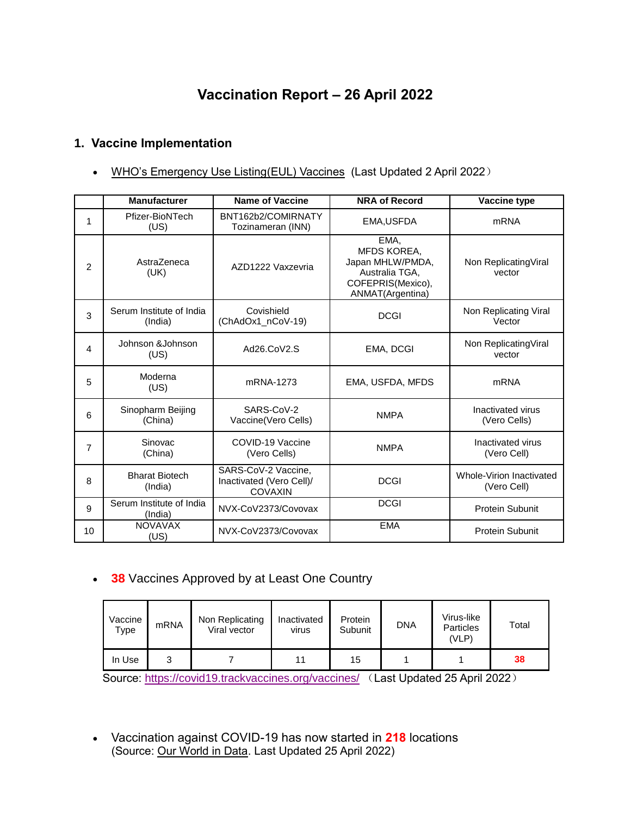# **Vaccination Report – 26 April 2022**

### **1. Vaccine Implementation**

• [WHO's Emergency Use Listing\(EUL\) Vaccines](https://extranet.who.int/pqweb/sites/default/files/documents/Status_COVID_VAX_02April2022.pdf) (Last Updated 2 April 2022)

|                | <b>Manufacturer</b>                 | <b>Name of Vaccine</b>                                            | <b>NRA of Record</b>                                                                               | Vaccine type                            |
|----------------|-------------------------------------|-------------------------------------------------------------------|----------------------------------------------------------------------------------------------------|-----------------------------------------|
| 1              | Pfizer-BioNTech<br>(US)             | BNT162b2/COMIRNATY<br>Tozinameran (INN)                           | EMA, USFDA                                                                                         | <b>mRNA</b>                             |
| $\overline{2}$ | AstraZeneca<br>(UK)                 | AZD1222 Vaxzevria                                                 | EMA,<br>MFDS KOREA,<br>Japan MHLW/PMDA,<br>Australia TGA,<br>COFEPRIS(Mexico),<br>ANMAT(Argentina) | Non Replicating Viral<br>vector         |
| 3              | Serum Institute of India<br>(India) | Covishield<br>(ChAdOx1_nCoV-19)                                   | <b>DCGI</b>                                                                                        | Non Replicating Viral<br>Vector         |
| 4              | Johnson & Johnson<br>(US)           | Ad26.CoV2.S                                                       | EMA, DCGI                                                                                          | Non Replicating Viral<br>vector         |
| 5              | Moderna<br>(US)                     | mRNA-1273                                                         | EMA, USFDA, MFDS                                                                                   | <b>mRNA</b>                             |
| 6              | Sinopharm Beijing<br>(China)        | SARS-CoV-2<br>Vaccine(Vero Cells)                                 | <b>NMPA</b>                                                                                        | Inactivated virus<br>(Vero Cells)       |
| $\overline{7}$ | Sinovac<br>(China)                  | COVID-19 Vaccine<br>(Vero Cells)                                  | <b>NMPA</b>                                                                                        | Inactivated virus<br>(Vero Cell)        |
| 8              | <b>Bharat Biotech</b><br>(India)    | SARS-CoV-2 Vaccine,<br>Inactivated (Vero Cell)/<br><b>COVAXIN</b> | <b>DCGI</b>                                                                                        | Whole-Virion Inactivated<br>(Vero Cell) |
| 9              | Serum Institute of India<br>(India) | NVX-CoV2373/Covovax                                               | <b>DCGI</b>                                                                                        | <b>Protein Subunit</b>                  |
| 10             | <b>NOVAVAX</b><br>(US)              | NVX-CoV2373/Covovax                                               | <b>EMA</b>                                                                                         | Protein Subunit                         |

**38** Vaccines Approved by at Least One Country

| Vaccine<br>Type | mRNA | Non Replicating<br>Viral vector | Inactivated<br>virus | Protein<br>Subunit | <b>DNA</b> | Virus-like<br>Particles<br>(VLP) | Total |
|-----------------|------|---------------------------------|----------------------|--------------------|------------|----------------------------------|-------|
| In Use          | ື    |                                 | 11                   | 15                 |            |                                  | 38    |

Source:<https://covid19.trackvaccines.org/vaccines/> (Last Updated 25 April 2022)

 Vaccination against COVID-19 has now started in **218** locations (Source: [Our World in Data.](https://ourworldindata.org/covid-vaccinations) Last Updated 25 April 2022)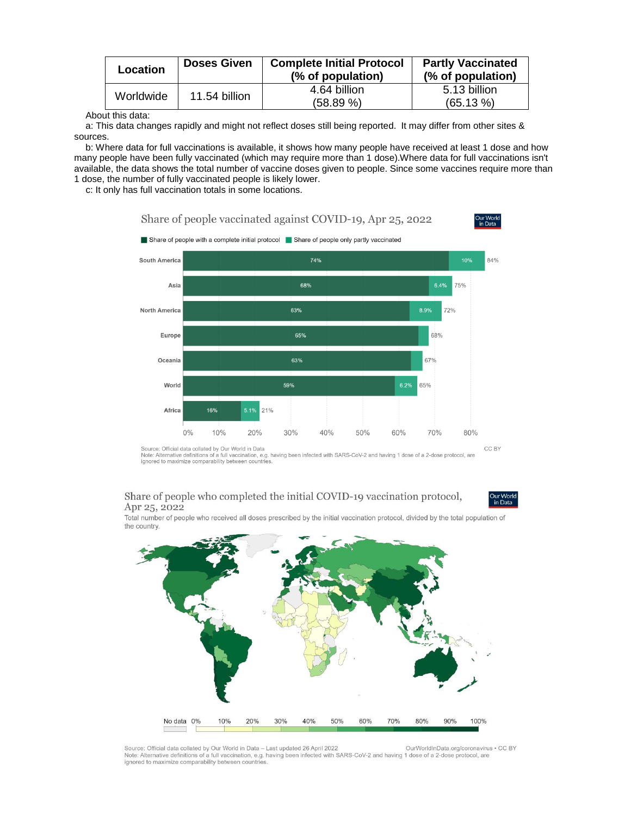| Location  | <b>Doses Given</b> | <b>Complete Initial Protocol</b><br>(% of population) | <b>Partly Vaccinated</b><br>(% of population) |
|-----------|--------------------|-------------------------------------------------------|-----------------------------------------------|
| Worldwide | 11.54 billion      | 4.64 billion<br>(58.89%)                              | 5.13 billion<br>$(65.13\%)$                   |

About this data:

a: This data changes rapidly and might not reflect doses still being reported. It may differ from other sites & sources.

b: Where data for full vaccinations is available, it shows how many people have received at least 1 dose and how many people have been fully vaccinated (which may require more than 1 dose).Where data for full vaccinations isn't available, the data shows the total number of vaccine doses given to people. Since some vaccines require more than 1 dose, the number of fully vaccinated people is likely lower.

c: It only has full vaccination totals in some locations.







but the intervent was the finitions of a full vaccination, e.g. having been infected with SARS-CoV-2 and having 1 dose of a 2-dose protocol, are ignored to maximize comparability between countries.

#### Share of people who completed the initial COVID-19 vaccination protocol, Apr 25, 2022

Dur Wor<br>in Data

Total number of people who received all doses prescribed by the initial vaccination protocol, divided by the total population of the country.



Source: Official data collated by Our World in Data - Last updated 26 April 2022 OurWorldInData.org/coronavirus . CC BY Note: Alternative definitions of a full vaccination, e.g. having been infected with SARS-CoV-2 and having 1 dose of a 2-dose protocol, are ignored to maximize comparability between countries.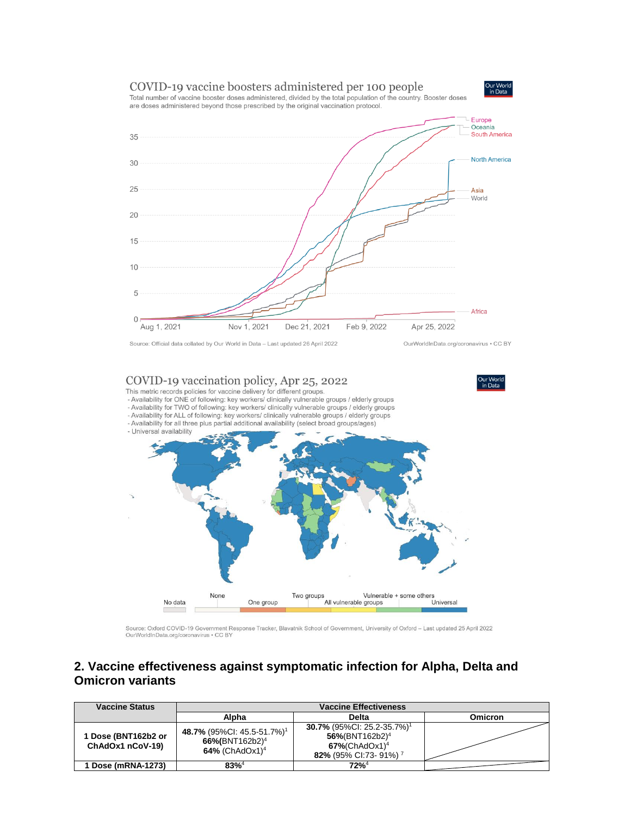



Total number of vaccine booster doses administered, divided by the total population of the country. Booster doses are doses administered beyond those prescribed by the original vaccination protocol.



#### COVID-19 vaccination policy, Apr 25, 2022

This metric records policies for vaccine delivery for different groups.

Jur World<br>in Data

- Availability for ONE of following: key workers/ clinically vulnerable groups / elderly groups
- Availability for TWO of following: key workers/ clinically vulnerable groups / elderly groups
- Availability for ALL of following: key workers/ clinically vulnerable groups / elderly groups
- Availability for all three plus partial additional availability (select broad groups/ages) - Universal availability



Source: Oxford COVID-19 Government Response Tracker, Blavatnik School of Government, University of Oxford - Last updated 25 April 2022 OurWorldInData.org/coronavirus . CC BY

### 2. Vaccine effectiveness against symptomatic infection for Alpha, Delta and **Omicron variants**

| <b>Vaccine Status</b>                   | <b>Vaccine Effectiveness</b>                                                                       |                                                                                                                                               |                |  |
|-----------------------------------------|----------------------------------------------------------------------------------------------------|-----------------------------------------------------------------------------------------------------------------------------------------------|----------------|--|
|                                         | Alpha                                                                                              | <b>Delta</b>                                                                                                                                  | <b>Omicron</b> |  |
| 1 Dose (BNT162b2 or<br>ChAdOx1 nCoV-19) | 48.7% (95%CI: 45.5-51.7%) <sup>1</sup><br>66%(BNT162b2) <sup>4</sup><br>64% (ChAdOx1) <sup>4</sup> | 30.7% (95%CI: 25.2-35.7%) <sup>1</sup><br>$56\%$ (BNT162b2) <sup>4</sup><br>$67\%$ (ChAdOx1) <sup>4</sup><br>82% (95% CI:73-91%) <sup>7</sup> |                |  |
| <b>Dose (mRNA-1273)</b>                 | $83%^{4}$                                                                                          | $72%^4$                                                                                                                                       |                |  |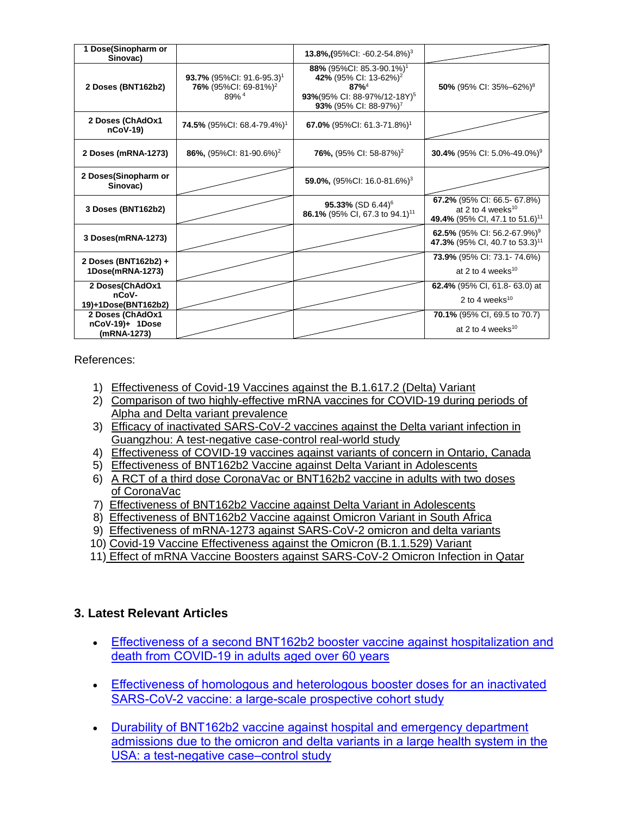| 1 Dose(Sinopharm or<br>Sinovac)                    |                                                                                                      | 13.8%, $(95\%$ CI: -60.2-54.8%) <sup>3</sup>                                                                                                                           |                                                                                                           |
|----------------------------------------------------|------------------------------------------------------------------------------------------------------|------------------------------------------------------------------------------------------------------------------------------------------------------------------------|-----------------------------------------------------------------------------------------------------------|
| 2 Doses (BNT162b2)                                 | <b>93.7%</b> (95%Cl: 91.6-95.3) <sup>1</sup><br>76% (95%CI: 69-81%) <sup>2</sup><br>89% <sup>4</sup> | 88% (95%CI: 85.3-90.1%) <sup>1</sup><br>42% (95% CI: 13-62%) <sup>2</sup><br>$87%^{4}$<br>93%(95% CI: 88-97%/12-18Y) <sup>5</sup><br>93% (95% CI: 88-97%) <sup>7</sup> | 50% (95% CI: 35%-62%) <sup>8</sup>                                                                        |
| 2 Doses (ChAdOx1<br>$nCoV-19$                      | <b>74.5%</b> (95%Cl: 68.4-79.4%) <sup>1</sup>                                                        | 67.0% (95%Cl: 61.3-71.8%) <sup>1</sup>                                                                                                                                 |                                                                                                           |
| 2 Doses (mRNA-1273)                                | 86%, $(95\%$ CI: 81-90.6%) <sup>2</sup>                                                              | <b>76%,</b> (95% CI: 58-87%) <sup>2</sup>                                                                                                                              | <b>30.4%</b> (95% CI: 5.0%-49.0%) <sup>9</sup>                                                            |
| 2 Doses(Sinopharm or<br>Sinovac)                   |                                                                                                      | 59.0%, $(95\%$ CI: 16.0-81.6%) <sup>3</sup>                                                                                                                            |                                                                                                           |
| 3 Doses (BNT162b2)                                 |                                                                                                      | 95.33% (SD 6.44) <sup>6</sup><br>86.1% (95% CI, 67.3 to 94.1) <sup>11</sup>                                                                                            | 67.2% (95% CI: 66.5-67.8%)<br>at 2 to 4 weeks <sup>10</sup><br>49.4% (95% CI, 47.1 to 51.6) <sup>11</sup> |
| 3 Doses(mRNA-1273)                                 |                                                                                                      |                                                                                                                                                                        | 62.5% (95% Cl: 56.2-67.9%) <sup>9</sup><br>47.3% (95% CI, 40.7 to 53.3) <sup>11</sup>                     |
| 2 Doses (BNT162b2) +<br>1Dose(mRNA-1273)           |                                                                                                      |                                                                                                                                                                        | 73.9% (95% CI: 73.1-74.6%)<br>at 2 to 4 weeks $^{10}$                                                     |
| 2 Doses(ChAdOx1<br>nCoV-<br>19)+1Dose(BNT162b2)    |                                                                                                      |                                                                                                                                                                        | <b>62.4%</b> (95% CI, 61.8-63.0) at<br>2 to 4 weeks <sup>10</sup>                                         |
| 2 Doses (ChAdOx1<br>nCoV-19)+ 1Dose<br>(mRNA-1273) |                                                                                                      |                                                                                                                                                                        | 70.1% (95% CI, 69.5 to 70.7)<br>at 2 to 4 weeks <sup>10</sup>                                             |

References:

- 1) [Effectiveness of Covid-19 Vaccines against the B.1.617.2 \(Delta\) Variant](https://www.nejm.org/doi/pdf/10.1056/NEJMoa2108891?articleTools=true)
- 2) [Comparison of two highly-effective mRNA vaccines for COVID-19 during periods of](https://www.medrxiv.org/content/10.1101/2021.08.06.21261707v1.full.pdf)  [Alpha and Delta variant prevalence](https://www.medrxiv.org/content/10.1101/2021.08.06.21261707v1.full.pdf)
- 3) [Efficacy of inactivated SARS-CoV-2 vaccines against the Delta variant infection in](https://www.tandfonline.com/doi/full/10.1080/22221751.2021.1969291)  [Guangzhou: A test-negative case-control real-world study](https://www.tandfonline.com/doi/full/10.1080/22221751.2021.1969291)
- 4) [Effectiveness of COVID-19 vaccines against variants of concern in Ontario, Canada](https://www.medrxiv.org/content/10.1101/2021.06.28.21259420v2.full.pdf)
- 5) [Effectiveness of BNT162b2 Vaccine against Delta Variant in Adolescents](https://www.nejm.org/doi/pdf/10.1056/NEJMc2114290?articleTools=true)
- 6) [A RCT of a third dose CoronaVac or BNT162b2 vaccine in adults with two doses](https://www.medrxiv.org/content/10.1101/2021.11.02.21265843v1.full.pdf)  [of CoronaVac](https://www.medrxiv.org/content/10.1101/2021.11.02.21265843v1.full.pdf)
- 7) [Effectiveness of BNT162b2 Vaccine against Delta Variant in Adolescents](https://www.nejm.org/doi/full/10.1056/NEJMc2114290?query=featured_home)
- 8) [Effectiveness of BNT162b2 Vaccine against Omicron Variant in South Africa](https://www.nejm.org/doi/full/10.1056/NEJMc2119270)
- 9) [Effectiveness of mRNA-1273 against SARS-CoV-2 omicron and delta variants](https://www.medrxiv.org/content/10.1101/2022.01.07.22268919v1)
- 10) [Covid-19 Vaccine Effectiveness against the Omicron \(B.1.1.529\) Variant](https://www.nejm.org/doi/full/10.1056/NEJMoa2119451?query=featured_home)
- 11) [Effect of mRNA Vaccine Boosters against SARS-CoV-2 Omicron Infection in Qatar](https://www.nejm.org/doi/full/10.1056/NEJMoa2200797)

### **3. Latest Relevant Articles**

- [Effectiveness of a second BNT162b2 booster vaccine against hospitalization and](https://www.nature.com/articles/s41591-022-01832-0)  [death from COVID-19 in adults aged over 60 years](https://www.nature.com/articles/s41591-022-01832-0)
- [Effectiveness of homologous and heterologous booster doses for an inactivated](https://www.thelancet.com/journals/langlo/article/PIIS2214-109X(22)00112-7/fulltext)  [SARS-CoV-2 vaccine: a large-scale prospective cohort study](https://www.thelancet.com/journals/langlo/article/PIIS2214-109X(22)00112-7/fulltext)
- [Durability of BNT162b2 vaccine against hospital and emergency department](https://www.thelancet.com/journals/lanres/article/PIIS2213-2600(22)00101-1/fulltext)  [admissions due to the omicron and delta variants in a large health system in the](https://www.thelancet.com/journals/lanres/article/PIIS2213-2600(22)00101-1/fulltext)  [USA: a test-negative case–control study](https://www.thelancet.com/journals/lanres/article/PIIS2213-2600(22)00101-1/fulltext)